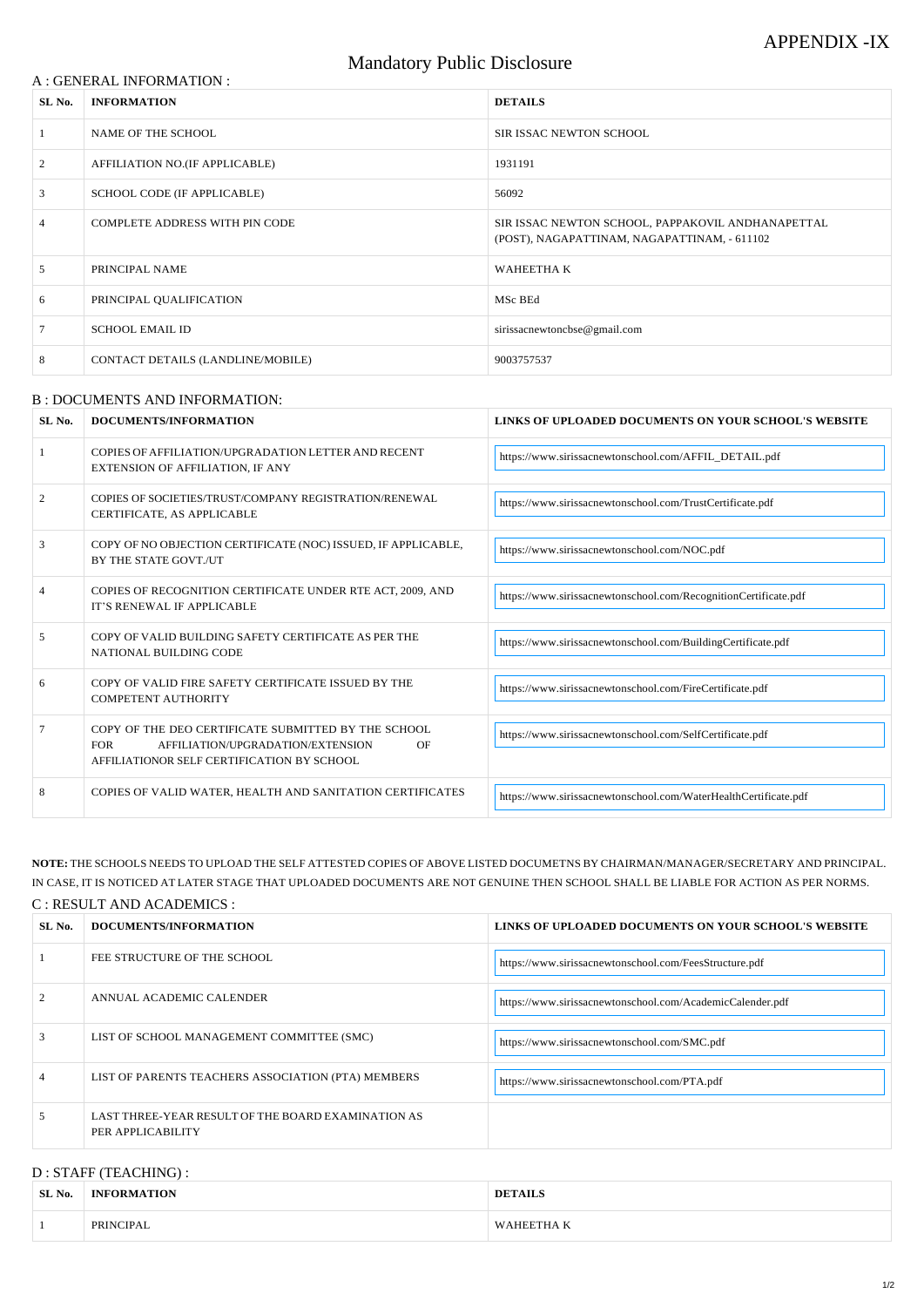#### A : GENERAL INFORMATION :

## Mandatory Public Disclosure

| SL No. | <b>INFORMATION</b>                | <b>DETAILS</b>                                                                                    |  |
|--------|-----------------------------------|---------------------------------------------------------------------------------------------------|--|
|        | NAME OF THE SCHOOL                | <b>SIR ISSAC NEWTON SCHOOL</b>                                                                    |  |
| 2      | AFFILIATION NO.(IF APPLICABLE)    | 1931191                                                                                           |  |
| 3      | SCHOOL CODE (IF APPLICABLE)       | 56092                                                                                             |  |
| 4      | COMPLETE ADDRESS WITH PIN CODE    | SIR ISSAC NEWTON SCHOOL, PAPPAKOVIL ANDHANAPETTAL<br>(POST), NAGAPATTINAM, NAGAPATTINAM, - 611102 |  |
| 5      | PRINCIPAL NAME                    | <b>WAHEETHAK</b>                                                                                  |  |
| 6      | PRINCIPAL QUALIFICATION           | MSc BEd                                                                                           |  |
|        | <b>SCHOOL EMAIL ID</b>            | sirissacnewtoncbse@gmail.com                                                                      |  |
| 8      | CONTACT DETAILS (LANDLINE/MOBILE) | 9003757537                                                                                        |  |

#### B : DOCUMENTS AND INFORMATION:

| SL No. | DOCUMENTS/INFORMATION                                                                                                                                      | LINKS OF UPLOADED DOCUMENTS ON YOUR SCHOOL'S WEBSITE            |
|--------|------------------------------------------------------------------------------------------------------------------------------------------------------------|-----------------------------------------------------------------|
|        | COPIES OF AFFILIATION/UPGRADATION LETTER AND RECENT<br><b>EXTENSION OF AFFILIATION, IF ANY</b>                                                             | https://www.sirissacnewtonschool.com/AFFIL_DETAIL.pdf           |
| 2      | COPIES OF SOCIETIES/TRUST/COMPANY REGISTRATION/RENEWAL<br>CERTIFICATE, AS APPLICABLE                                                                       | https://www.sirissacnewtonschool.com/TrustCertificate.pdf       |
| 3      | COPY OF NO OBJECTION CERTIFICATE (NOC) ISSUED, IF APPLICABLE,<br>BY THE STATE GOVT./UT                                                                     | https://www.sirissacnewtonschool.com/NOC.pdf                    |
|        | COPIES OF RECOGNITION CERTIFICATE UNDER RTE ACT, 2009, AND<br>IT'S RENEWAL IF APPLICABLE                                                                   | https://www.sirissacnewtonschool.com/RecognitionCertificate.pdf |
| 5      | COPY OF VALID BUILDING SAFETY CERTIFICATE AS PER THE<br>NATIONAL BUILDING CODE                                                                             | https://www.sirissacnewtonschool.com/BuildingCertificate.pdf    |
| 6      | COPY OF VALID FIRE SAFETY CERTIFICATE ISSUED BY THE<br><b>COMPETENT AUTHORITY</b>                                                                          | https://www.sirissacnewtonschool.com/FireCertificate.pdf        |
|        | COPY OF THE DEO CERTIFICATE SUBMITTED BY THE SCHOOL<br><b>FOR</b><br>AFFILIATION/UPGRADATION/EXTENSION<br>OF<br>AFFILIATIONOR SELF CERTIFICATION BY SCHOOL | https://www.sirissacnewtonschool.com/SelfCertificate.pdf        |
| 8      | COPIES OF VALID WATER, HEALTH AND SANITATION CERTIFICATES                                                                                                  | https://www.sirissacnewtonschool.com/WaterHealthCertificate.pdf |

**NOTE:** THE SCHOOLS NEEDS TO UPLOAD THE SELF ATTESTED COPIES OF ABOVE LISTED DOCUMETNS BY CHAIRMAN/MANAGER/SECRETARY AND PRINCIPAL. IN CASE, IT IS NOTICED AT LATER STAGE THAT UPLOADED DOCUMENTS ARE NOT GENUINE THEN SCHOOL SHALL BE LIABLE FOR ACTION AS PER NORMS. C : RESULT AND ACADEMICS :

# **SL No.** | DOCUMENTS/INFORMATION | LINKS OF UPLOADED DOCUMENTS ON YOUR SCHOOL'S WEBSITE 1 FEE STRUCTURE OF THE SCHOOL https:[//www.sirissacnewtonschool.com/FeesStructure.pdf](http://www.sirissacnewtonschool.com/FeesStructure.pdf)

| 2              | ANNUAL ACADEMIC CALENDER                                                | https://www.sirissacnewtonschool.com/AcademicCalender.pdf |
|----------------|-------------------------------------------------------------------------|-----------------------------------------------------------|
| 3              | LIST OF SCHOOL MANAGEMENT COMMITTEE (SMC)                               | https://www.sirissacnewtonschool.com/SMC.pdf              |
| $\overline{4}$ | LIST OF PARENTS TEACHERS ASSOCIATION (PTA) MEMBERS                      | https://www.sirissacnewtonschool.com/PTA.pdf              |
| 5              | LAST THREE-YEAR RESULT OF THE BOARD EXAMINATION AS<br>PER APPLICABILITY |                                                           |

#### D : STAFF (TEACHING) :

| SL No. | <b>INFORMATION</b> | DET                            |
|--------|--------------------|--------------------------------|
|        | <b>PRINCIPAL</b>   | <b>HEETHAK</b><br>$\mathbf{X}$ |